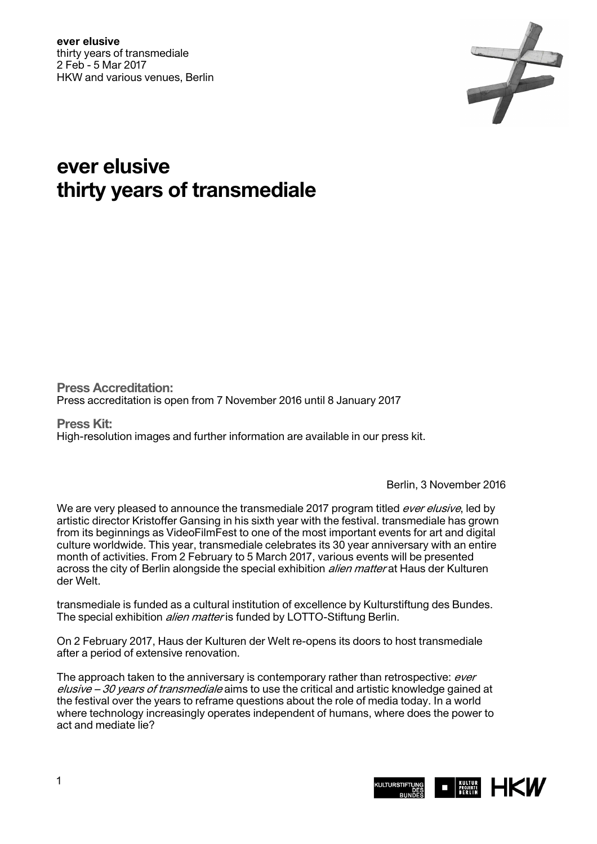

# **ever elusive thirty years of transmediale**

**Press Accreditation:**  Press accreditation is open from 7 November 2016 until 8 January 2017

**Press Kit:**  High-resolution images and further information are available in our press kit.

Berlin, 3 November 2016

We are very pleased to announce the transmediale 2017 program titled *ever elusive*, led by artistic director Kristoffer Gansing in his sixth year with the festival. transmediale has grown from its beginnings as VideoFilmFest to one of the most important events for art and digital culture worldwide. This year, transmediale celebrates its 30 year anniversary with an entire month of activities. From 2 February to 5 March 2017, various events will be presented across the city of Berlin alongside the special exhibition *alien matter* at Haus der Kulturen der Welt.

transmediale is funded as a cultural institution of excellence by Kulturstiftung des Bundes. The special exhibition *alien matter* is funded by LOTTO-Stiftung Berlin.

On 2 February 2017, Haus der Kulturen der Welt re-opens its doors to host transmediale after a period of extensive renovation.

The approach taken to the anniversary is contemporary rather than retrospective: ever elusive – 30 years of transmediale aims to use the critical and artistic knowledge gained at the festival over the years to reframe questions about the role of media today. In a world where technology increasingly operates independent of humans, where does the power to act and mediate lie?

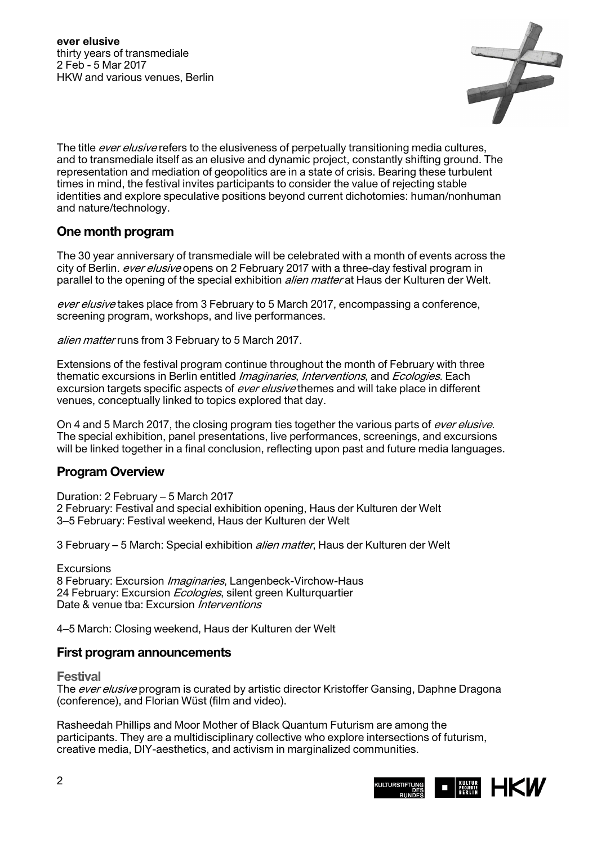

The title ever elusive refers to the elusiveness of perpetually transitioning media cultures, and to transmediale itself as an elusive and dynamic project, constantly shifting ground. The representation and mediation of geopolitics are in a state of crisis. Bearing these turbulent times in mind, the festival invites participants to consider the value of rejecting stable identities and explore speculative positions beyond current dichotomies: human/nonhuman and nature/technology.

## **One month program**

The 30 year anniversary of transmediale will be celebrated with a month of events across the city of Berlin. ever elusive opens on 2 February 2017 with a three-day festival program in parallel to the opening of the special exhibition *alien matter* at Haus der Kulturen der Welt.

ever elusive takes place from 3 February to 5 March 2017, encompassing a conference, screening program, workshops, and live performances.

alien matter runs from 3 February to 5 March 2017.

Extensions of the festival program continue throughout the month of February with three thematic excursions in Berlin entitled *Imaginaries, Interventions*, and *Ecologies*. Each excursion targets specific aspects of *ever elusive* themes and will take place in different venues, conceptually linked to topics explored that day.

On 4 and 5 March 2017, the closing program ties together the various parts of *ever elusive*. The special exhibition, panel presentations, live performances, screenings, and excursions will be linked together in a final conclusion, reflecting upon past and future media languages.

## **Program Overview**

Duration: 2 February – 5 March 2017 2 February: Festival and special exhibition opening, Haus der Kulturen der Welt 3–5 February: Festival weekend, Haus der Kulturen der Welt

3 February – 5 March: Special exhibition alien matter, Haus der Kulturen der Welt

**Excursions** 8 February: Excursion Imaginaries, Langenbeck-Virchow-Haus 24 February: Excursion *Ecologies*, silent green Kulturguartier Date & venue tba: Excursion *Interventions* 

4–5 March: Closing weekend, Haus der Kulturen der Welt

### **First program announcements**

**Festival** 

The ever elusive program is curated by artistic director Kristoffer Gansing, Daphne Dragona (conference), and Florian Wüst (film and video).

Rasheedah Phillips and Moor Mother of Black Quantum Futurism are among the participants. They are a multidisciplinary collective who explore intersections of futurism, creative media, DIY-aesthetics, and activism in marginalized communities.

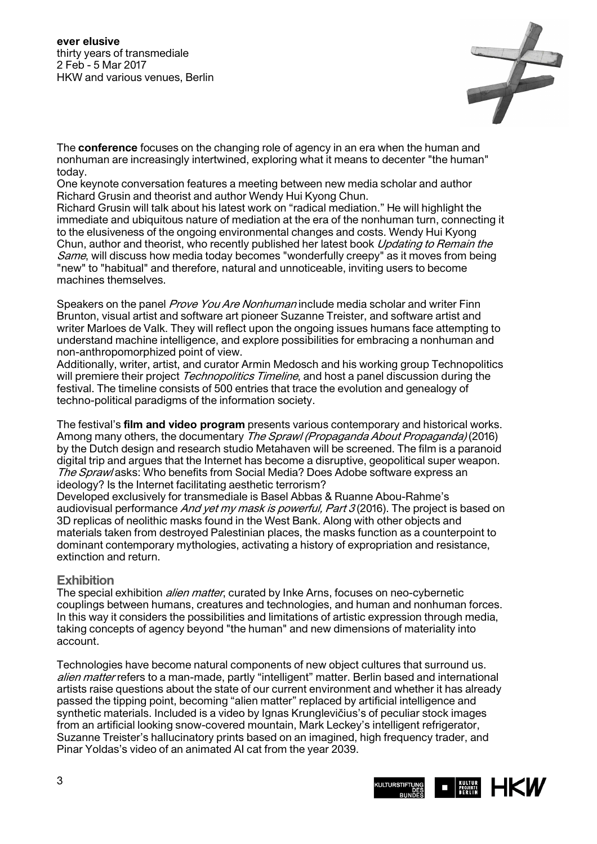

The **conference** focuses on the changing role of agency in an era when the human and nonhuman are increasingly intertwined, exploring what it means to decenter "the human" today.

One keynote conversation features a meeting between new media scholar and author Richard Grusin and theorist and author Wendy Hui Kyong Chun.

Richard Grusin will talk about his latest work on "radical mediation." He will highlight the immediate and ubiquitous nature of mediation at the era of the nonhuman turn, connecting it to the elusiveness of the ongoing environmental changes and costs. Wendy Hui Kyong Chun, author and theorist, who recently published her latest book *Updating to Remain the* Same, will discuss how media today becomes "wonderfully creepy" as it moves from being "new" to "habitual" and therefore, natural and unnoticeable, inviting users to become machines themselves.

Speakers on the panel *Prove You Are Nonhuman* include media scholar and writer Finn Brunton, visual artist and software art pioneer Suzanne Treister, and software artist and writer Marloes de Valk. They will reflect upon the ongoing issues humans face attempting to understand machine intelligence, and explore possibilities for embracing a nonhuman and non-anthropomorphized point of view.

Additionally, writer, artist, and curator Armin Medosch and his working group Technopolitics will premiere their project *Technopolitics Timeline*, and host a panel discussion during the festival. The timeline consists of 500 entries that trace the evolution and genealogy of techno-political paradigms of the information society.

The festival's **film and video program** presents various contemporary and historical works. Among many others, the documentary *The Sprawl (Propaganda About Propaganda)* (2016) by the Dutch design and research studio Metahaven will be screened. The film is a paranoid digital trip and argues that the Internet has become a disruptive, geopolitical super weapon. The Spraw/asks: Who benefits from Social Media? Does Adobe software express an ideology? Is the Internet facilitating aesthetic terrorism?

Developed exclusively for transmediale is Basel Abbas & Ruanne Abou-Rahme's audiovisual performance And yet my mask is powerful, Part  $3(2016)$ . The project is based on 3D replicas of neolithic masks found in the West Bank. Along with other objects and materials taken from destroyed Palestinian places, the masks function as a counterpoint to dominant contemporary mythologies, activating a history of expropriation and resistance, extinction and return.

### **Exhibition**

The special exhibition *alien matter*, curated by Inke Arns, focuses on neo-cybernetic couplings between humans, creatures and technologies, and human and nonhuman forces. In this way it considers the possibilities and limitations of artistic expression through media, taking concepts of agency beyond "the human" and new dimensions of materiality into account.

Technologies have become natural components of new object cultures that surround us. alien matter refers to a man-made, partly "intelligent" matter. Berlin based and international artists raise questions about the state of our current environment and whether it has already passed the tipping point, becoming "alien matter" replaced by artificial intelligence and synthetic materials. Included is a video by Ignas Krunglevičius's of peculiar stock images from an artificial looking snow-covered mountain, Mark Leckey's intelligent refrigerator, Suzanne Treister's hallucinatory prints based on an imagined, high frequency trader, and Pinar Yoldas's video of an animated AI cat from the year 2039.